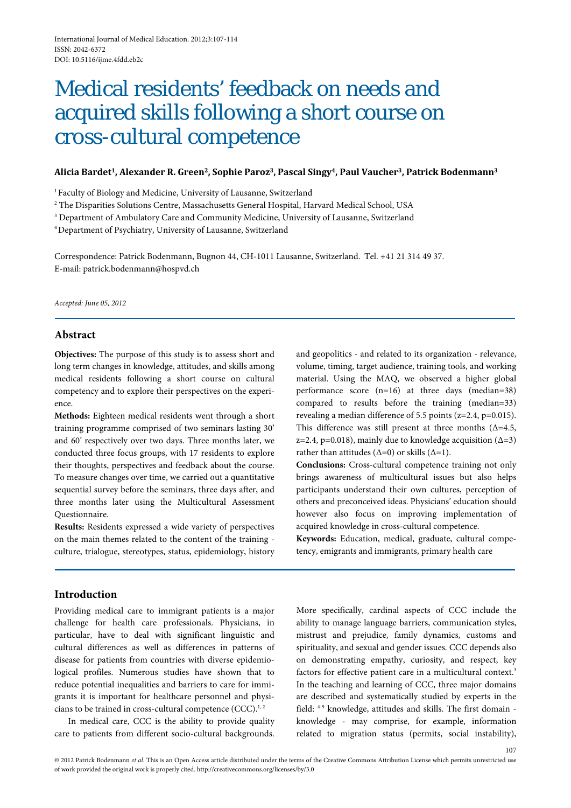# Medical residents' feedback on needs and acquired skills following a short course on cross-cultural competence

# **Alicia Bardet1, Alexander R. Green2, Sophie Paroz3, Pascal Singy4, Paul Vaucher3, Patrick Bodenmann3**

1 Faculty of Biology and Medicine, University of Lausanne, Switzerland

<sup>2</sup> The Disparities Solutions Centre, Massachusetts General Hospital, Harvard Medical School, USA

<sup>3</sup> Department of Ambulatory Care and Community Medicine, University of Lausanne, Switzerland

4 Department of Psychiatry, University of Lausanne, Switzerland

Correspondence: Patrick Bodenmann, Bugnon 44, CH-1011 Lausanne, Switzerland. Tel. +41 21 314 49 37. E-mail: patrick.bodenmann@hospvd.ch

*Accepted: June 05, 2012*

# **Abstract**

**Objectives:** The purpose of this study is to assess short and long term changes in knowledge, attitudes, and skills among medical residents following a short course on cultural competency and to explore their perspectives on the experience.

**Methods:** Eighteen medical residents went through a short training programme comprised of two seminars lasting 30' and 60' respectively over two days. Three months later, we conducted three focus groups, with 17 residents to explore their thoughts, perspectives and feedback about the course. To measure changes over time, we carried out a quantitative sequential survey before the seminars, three days after, and three months later using the Multicultural Assessment Questionnaire.

**Results:** Residents expressed a wide variety of perspectives on the main themes related to the content of the training culture, trialogue, stereotypes, status, epidemiology, history

# **Introduction**

Providing medical care to immigrant patients is a major challenge for health care professionals. Physicians, in particular, have to deal with significant linguistic and cultural differences as well as differences in patterns of disease for patients from countries with diverse epidemiological profiles. Numerous studies have shown that to reduce potential inequalities and barriers to care for immigrants it is important for healthcare personnel and physicians to be trained in cross-cultural competence (CCC).<sup>1,2</sup>

In medical care, CCC is the ability to provide quality care to patients from different socio-cultural backgrounds.

and geopolitics - and related to its organization - relevance, volume, timing, target audience, training tools, and working material. Using the MAQ, we observed a higher global performance score (n=16) at three days (median=38) compared to results before the training (median=33) revealing a median difference of 5.5 points ( $z=2.4$ ,  $p=0.015$ ). This difference was still present at three months  $(∆=4.5,$ z=2.4, p=0.018), mainly due to knowledge acquisition (∆=3) rather than attitudes ( $\Delta=0$ ) or skills ( $\Delta=1$ ).

**Conclusions:** Cross-cultural competence training not only brings awareness of multicultural issues but also helps participants understand their own cultures, perception of others and preconceived ideas. Physicians' education should however also focus on improving implementation of acquired knowledge in cross-cultural competence.

**Keywords:** Education, medical, graduate, cultural competency, emigrants and immigrants, primary health care

More specifically, cardinal aspects of CCC include the ability to manage language barriers, communication styles, mistrust and prejudice, family dynamics, customs and spirituality, and sexual and gender issues. CCC depends also on demonstrating empathy, curiosity, and respect, key factors for effective patient care in a multicultural context.<sup>3</sup> In the teaching and learning of CCC, three major domains are described and systematically studied by experts in the field: 4-9 knowledge, attitudes and skills. The first domain knowledge - may comprise, for example, information related to migration status (permits, social instability),

107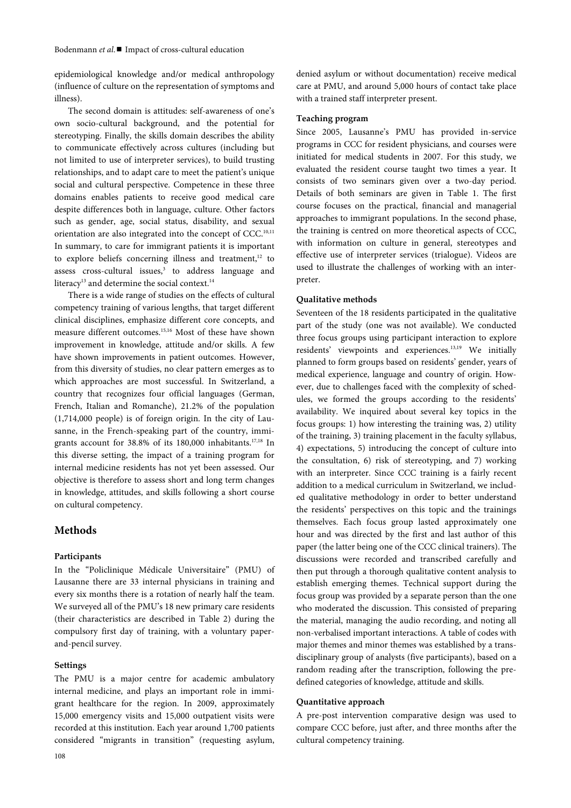epidemiological knowledge and/or medical anthropology (influence of culture on the representation of symptoms and illness).

The second domain is attitudes: self-awareness of one's own socio-cultural background, and the potential for stereotyping. Finally, the skills domain describes the ability to communicate effectively across cultures (including but not limited to use of interpreter services), to build trusting relationships, and to adapt care to meet the patient's unique social and cultural perspective. Competence in these three domains enables patients to receive good medical care despite differences both in language, culture. Other factors such as gender, age, social status, disability, and sexual orientation are also integrated into the concept of CCC.<sup>10,11</sup> In summary, to care for immigrant patients it is important to explore beliefs concerning illness and treatment, <sup>12</sup> to assess cross-cultural issues, <sup>3</sup> to address language and literacy<sup>13</sup> and determine the social context.<sup>14</sup>

There is a wide range of studies on the effects of cultural competency training of various lengths, that target different clinical disciplines, emphasize different core concepts, and measure different outcomes.15,16 Most of these have shown improvement in knowledge, attitude and/or skills. A few have shown improvements in patient outcomes. However, from this diversity of studies, no clear pattern emerges as to which approaches are most successful. In Switzerland, a country that recognizes four official languages (German, French, Italian and Romanche), 21.2% of the population (1,714,000 people) is of foreign origin. In the city of Lausanne, in the French-speaking part of the country, immigrants account for 38.8% of its 180,000 inhabitants.<sup>17,18</sup> In this diverse setting, the impact of a training program for internal medicine residents has not yet been assessed. Our objective is therefore to assess short and long term changes in knowledge, attitudes, and skills following a short course on cultural competency.

# **Methods**

#### **Participants**

In the "Policlinique Médicale Universitaire" (PMU) of Lausanne there are 33 internal physicians in training and every six months there is a rotation of nearly half the team. We surveyed all of the PMU's 18 new primary care residents (their characteristics are described in Table 2) during the compulsory first day of training, with a voluntary paperand-pencil survey.

# **Settings**

The PMU is a major centre for academic ambulatory internal medicine, and plays an important role in immigrant healthcare for the region. In 2009, approximately 15,000 emergency visits and 15,000 outpatient visits were recorded at this institution. Each year around 1,700 patients considered "migrants in transition" (requesting asylum,

denied asylum or without documentation) receive medical care at PMU, and around 5,000 hours of contact take place with a trained staff interpreter present.

# **Teaching program**

Since 2005, Lausanne's PMU has provided in-service programs in CCC for resident physicians, and courses were initiated for medical students in 2007. For this study, we evaluated the resident course taught two times a year. It consists of two seminars given over a two-day period. Details of both seminars are given in Table 1. The first course focuses on the practical, financial and managerial approaches to immigrant populations. In the second phase, the training is centred on more theoretical aspects of CCC, with information on culture in general, stereotypes and effective use of interpreter services (trialogue). Videos are used to illustrate the challenges of working with an interpreter.

#### **Qualitative methods**

Seventeen of the 18 residents participated in the qualitative part of the study (one was not available). We conducted three focus groups using participant interaction to explore residents' viewpoints and experiences.<sup>13,19</sup> We initially planned to form groups based on residents' gender, years of medical experience, language and country of origin. However, due to challenges faced with the complexity of schedules, we formed the groups according to the residents' availability. We inquired about several key topics in the focus groups: 1) how interesting the training was, 2) utility of the training, 3) training placement in the faculty syllabus, 4) expectations, 5) introducing the concept of culture into the consultation, 6) risk of stereotyping, and 7) working with an interpreter. Since CCC training is a fairly recent addition to a medical curriculum in Switzerland, we included qualitative methodology in order to better understand the residents' perspectives on this topic and the trainings themselves. Each focus group lasted approximately one hour and was directed by the first and last author of this paper (the latter being one of the CCC clinical trainers). The discussions were recorded and transcribed carefully and then put through a thorough qualitative content analysis to establish emerging themes. Technical support during the focus group was provided by a separate person than the one who moderated the discussion. This consisted of preparing the material, managing the audio recording, and noting all non-verbalised important interactions. A table of codes with major themes and minor themes was established by a transdisciplinary group of analysts (five participants), based on a random reading after the transcription, following the predefined categories of knowledge, attitude and skills.

## **Quantitative approach**

A pre-post intervention comparative design was used to compare CCC before, just after, and three months after the cultural competency training.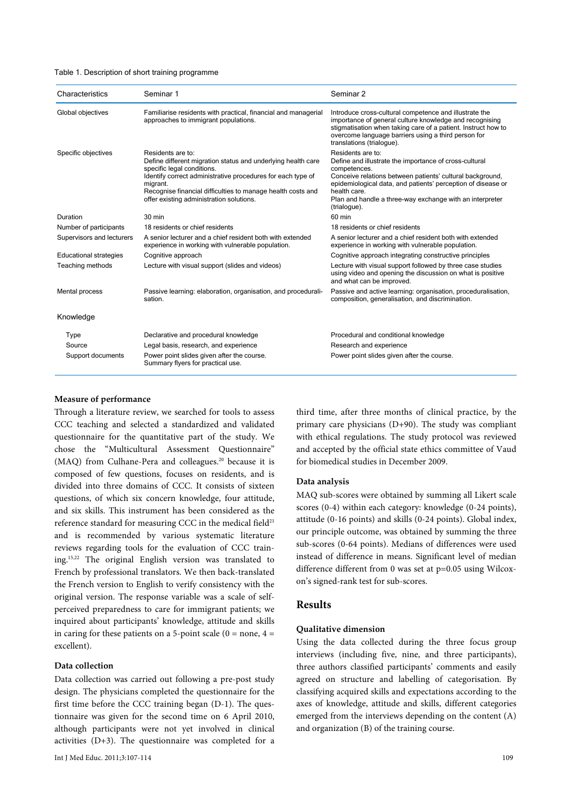#### Table 1. Description of short training programme

| Characteristics               | Seminar 1                                                                                                                                                                                                                                                                                             | Seminar 2                                                                                                                                                                                                                                                                                                            |  |
|-------------------------------|-------------------------------------------------------------------------------------------------------------------------------------------------------------------------------------------------------------------------------------------------------------------------------------------------------|----------------------------------------------------------------------------------------------------------------------------------------------------------------------------------------------------------------------------------------------------------------------------------------------------------------------|--|
| Global objectives             | Familiarise residents with practical, financial and managerial<br>approaches to immigrant populations.                                                                                                                                                                                                | Introduce cross-cultural competence and illustrate the<br>importance of general culture knowledge and recognising<br>stigmatisation when taking care of a patient. Instruct how to<br>overcome language barriers using a third person for<br>translations (trialogue).                                               |  |
| Specific objectives           | Residents are to:<br>Define different migration status and underlying health care<br>specific legal conditions.<br>Identify correct administrative procedures for each type of<br>migrant.<br>Recognise financial difficulties to manage health costs and<br>offer existing administration solutions. | Residents are to:<br>Define and illustrate the importance of cross-cultural<br>competences.<br>Conceive relations between patients' cultural background,<br>epidemiological data, and patients' perception of disease or<br>health care.<br>Plan and handle a three-way exchange with an interpreter<br>(trialogue). |  |
| Duration                      | $30 \text{ min}$                                                                                                                                                                                                                                                                                      | 60 min                                                                                                                                                                                                                                                                                                               |  |
| Number of participants        | 18 residents or chief residents                                                                                                                                                                                                                                                                       | 18 residents or chief residents                                                                                                                                                                                                                                                                                      |  |
| Supervisors and lecturers     | A senior lecturer and a chief resident both with extended<br>experience in working with vulnerable population.                                                                                                                                                                                        | A senior lecturer and a chief resident both with extended<br>experience in working with vulnerable population.                                                                                                                                                                                                       |  |
| <b>Educational strategies</b> | Cognitive approach                                                                                                                                                                                                                                                                                    | Cognitive approach integrating constructive principles                                                                                                                                                                                                                                                               |  |
| Teaching methods              | Lecture with visual support (slides and videos)                                                                                                                                                                                                                                                       | Lecture with visual support followed by three case studies<br>using video and opening the discussion on what is positive<br>and what can be improved.                                                                                                                                                                |  |
| Mental process                | Passive learning: elaboration, organisation, and procedurali-<br>sation.                                                                                                                                                                                                                              | Passive and active learning: organisation, proceduralisation,<br>composition, generalisation, and discrimination.                                                                                                                                                                                                    |  |
| Knowledge                     |                                                                                                                                                                                                                                                                                                       |                                                                                                                                                                                                                                                                                                                      |  |
| Type                          | Declarative and procedural knowledge                                                                                                                                                                                                                                                                  | Procedural and conditional knowledge                                                                                                                                                                                                                                                                                 |  |
| Source                        | Legal basis, research, and experience                                                                                                                                                                                                                                                                 | Research and experience                                                                                                                                                                                                                                                                                              |  |
| Support documents             | Power point slides given after the course.<br>Summary flyers for practical use.                                                                                                                                                                                                                       | Power point slides given after the course.                                                                                                                                                                                                                                                                           |  |

## **Measure of performance**

Through a literature review, we searched for tools to assess CCC teaching and selected a standardized and validated questionnaire for the quantitative part of the study. We chose the "Multicultural Assessment Questionnaire" (MAQ) from Culhane-Pera and colleagues. <sup>20</sup> because it is composed of few questions, focuses on residents, and is divided into three domains of CCC. It consists of sixteen questions, of which six concern knowledge, four attitude, and six skills. This instrument has been considered as the reference standard for measuring CCC in the medical field $21$ and is recommended by various systematic literature reviews regarding tools for the evaluation of CCC training.15,22 The original English version was translated to French by professional translators. We then back-translated the French version to English to verify consistency with the original version. The response variable was a scale of selfperceived preparedness to care for immigrant patients; we inquired about participants' knowledge, attitude and skills in caring for these patients on a 5-point scale ( $0 = none$ ,  $4 =$ excellent).

# **Data collection**

Data collection was carried out following a pre-post study design. The physicians completed the questionnaire for the first time before the CCC training began (D-1). The questionnaire was given for the second time on 6 April 2010, although participants were not yet involved in clinical activities (D+3). The questionnaire was completed for a

Int J Med Educ. 2011;3:107-114 109

third time, after three months of clinical practice, by the primary care physicians (D+90). The study was compliant with ethical regulations. The study protocol was reviewed and accepted by the official state ethics committee of Vaud for biomedical studies in December 2009.

#### **Data analysis**

MAQ sub-scores were obtained by summing all Likert scale scores (0-4) within each category: knowledge (0-24 points), attitude (0-16 points) and skills (0-24 points). Global index, our principle outcome, was obtained by summing the three sub-scores (0-64 points). Medians of differences were used instead of difference in means. Significant level of median difference different from 0 was set at p=0.05 using Wilcoxon's signed-rank test for sub-scores.

# **Results**

# **Qualitative dimension**

Using the data collected during the three focus group interviews (including five, nine, and three participants), three authors classified participants' comments and easily agreed on structure and labelling of categorisation. By classifying acquired skills and expectations according to the axes of knowledge, attitude and skills, different categories emerged from the interviews depending on the content (A) and organization (B) of the training course.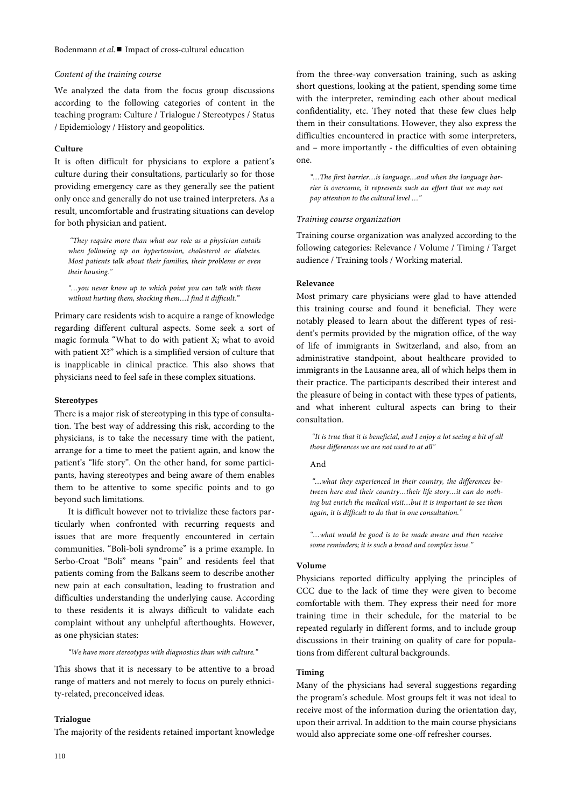## Bodenmann *et al*. ■ Impact of cross-cultural education

# *Content of the training course*

We analyzed the data from the focus group discussions according to the following categories of content in the teaching program: Culture / Trialogue / Stereotypes / Status / Epidemiology / History and geopolitics.

## **Culture**

It is often difficult for physicians to explore a patient's culture during their consultations, particularly so for those providing emergency care as they generally see the patient only once and generally do not use trained interpreters. As a result, uncomfortable and frustrating situations can develop for both physician and patient.

*"They require more than what our role as a physician entails when following up on hypertension, cholesterol or diabetes. Most patients talk about their families, their problems or even their housing."* 

*"…you never know up to which point you can talk with them without hurting them, shocking them…I find it difficult."*

Primary care residents wish to acquire a range of knowledge regarding different cultural aspects. Some seek a sort of magic formula "What to do with patient X; what to avoid with patient X?" which is a simplified version of culture that is inapplicable in clinical practice. This also shows that physicians need to feel safe in these complex situations.

#### **Stereotypes**

There is a major risk of stereotyping in this type of consultation. The best way of addressing this risk, according to the physicians, is to take the necessary time with the patient, arrange for a time to meet the patient again, and know the patient's "life story". On the other hand, for some participants, having stereotypes and being aware of them enables them to be attentive to some specific points and to go beyond such limitations.

It is difficult however not to trivialize these factors particularly when confronted with recurring requests and issues that are more frequently encountered in certain communities. "Boli-boli syndrome" is a prime example. In Serbo-Croat "Boli" means "pain" and residents feel that patients coming from the Balkans seem to describe another new pain at each consultation, leading to frustration and difficulties understanding the underlying cause. According to these residents it is always difficult to validate each complaint without any unhelpful afterthoughts. However, as one physician states:

*"We have more stereotypes with diagnostics than with culture."*

This shows that it is necessary to be attentive to a broad range of matters and not merely to focus on purely ethnicity-related, preconceived ideas.

# **Trialogue**

The majority of the residents retained important knowledge

from the three-way conversation training, such as asking short questions, looking at the patient, spending some time with the interpreter, reminding each other about medical confidentiality, etc. They noted that these few clues help them in their consultations. However, they also express the difficulties encountered in practice with some interpreters, and – more importantly - the difficulties of even obtaining one.

*"…The first barrier…is language…and when the language barrier is overcome, it represents such an effort that we may not pay attention to the cultural level …"*

#### *Training course organization*

Training course organization was analyzed according to the following categories: Relevance / Volume / Timing / Target audience / Training tools / Working material.

# **Relevance**

Most primary care physicians were glad to have attended this training course and found it beneficial. They were notably pleased to learn about the different types of resident's permits provided by the migration office, of the way of life of immigrants in Switzerland, and also, from an administrative standpoint, about healthcare provided to immigrants in the Lausanne area, all of which helps them in their practice. The participants described their interest and the pleasure of being in contact with these types of patients, and what inherent cultural aspects can bring to their consultation.

*"It is true that it is beneficial, and I enjoy a lot seeing a bit of all those differences we are not used to at all"*

## And

*"…what they experienced in their country, the differences between here and their country…their life story…it can do nothing but enrich the medical visit…but it is important to see them again, it is difficult to do that in one consultation."* 

*"…what would be good is to be made aware and then receive some reminders; it is such a broad and complex issue."*

# **Volume**

Physicians reported difficulty applying the principles of CCC due to the lack of time they were given to become comfortable with them. They express their need for more training time in their schedule, for the material to be repeated regularly in different forms, and to include group discussions in their training on quality of care for populations from different cultural backgrounds.

# **Timing**

Many of the physicians had several suggestions regarding the program's schedule. Most groups felt it was not ideal to receive most of the information during the orientation day, upon their arrival. In addition to the main course physicians would also appreciate some one-off refresher courses.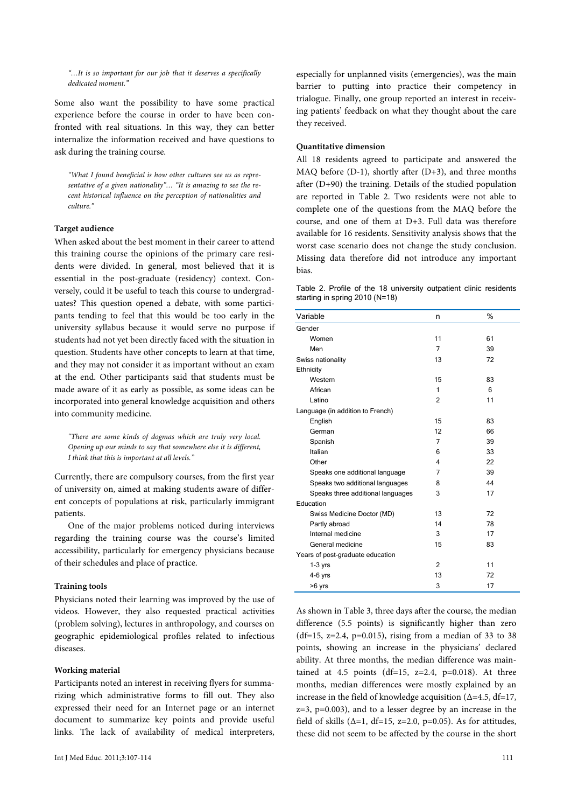*"…It is so important for our job that it deserves a specifically dedicated moment."* 

Some also want the possibility to have some practical experience before the course in order to have been confronted with real situations. In this way, they can better internalize the information received and have questions to ask during the training course.

*"What I found beneficial is how other cultures see us as representative of a given nationality"… "It is amazing to see the recent historical influence on the perception of nationalities and culture."* 

# **Target audience**

When asked about the best moment in their career to attend this training course the opinions of the primary care residents were divided. In general, most believed that it is essential in the post-graduate (residency) context. Conversely, could it be useful to teach this course to undergraduates? This question opened a debate, with some participants tending to feel that this would be too early in the university syllabus because it would serve no purpose if students had not yet been directly faced with the situation in question. Students have other concepts to learn at that time, and they may not consider it as important without an exam at the end. Other participants said that students must be made aware of it as early as possible, as some ideas can be incorporated into general knowledge acquisition and others into community medicine.

*"There are some kinds of dogmas which are truly very local. Opening up our minds to say that somewhere else it is different, I think that this is important at all levels."*

Currently, there are compulsory courses, from the first year of university on, aimed at making students aware of different concepts of populations at risk, particularly immigrant patients.

One of the major problems noticed during interviews regarding the training course was the course's limited accessibility, particularly for emergency physicians because of their schedules and place of practice.

#### **Training tools**

Physicians noted their learning was improved by the use of videos. However, they also requested practical activities (problem solving), lectures in anthropology, and courses on geographic epidemiological profiles related to infectious diseases.

#### **Working material**

Participants noted an interest in receiving flyers for summarizing which administrative forms to fill out. They also expressed their need for an Internet page or an internet document to summarize key points and provide useful links. The lack of availability of medical interpreters,

especially for unplanned visits (emergencies), was the main barrier to putting into practice their competency in trialogue. Finally, one group reported an interest in receiving patients' feedback on what they thought about the care they received.

#### **Quantitative dimension**

All 18 residents agreed to participate and answered the MAQ before (D-1), shortly after (D+3), and three months after (D+90) the training. Details of the studied population are reported in Table 2. Two residents were not able to complete one of the questions from the MAQ before the course, and one of them at D+3. Full data was therefore available for 16 residents. Sensitivity analysis shows that the worst case scenario does not change the study conclusion. Missing data therefore did not introduce any important bias.

Table 2. Profile of the 18 university outpatient clinic residents starting in spring 2010 (N=18)

| Variable                          | n  | %  |  |  |
|-----------------------------------|----|----|--|--|
| Gender                            |    |    |  |  |
| Women                             | 11 | 61 |  |  |
| Men                               | 7  | 39 |  |  |
| Swiss nationality                 | 13 | 72 |  |  |
| Ethnicity                         |    |    |  |  |
| Western                           | 15 | 83 |  |  |
| African                           | 1  | 6  |  |  |
| Latino                            | 2  | 11 |  |  |
| Language (in addition to French)  |    |    |  |  |
| English                           | 15 | 83 |  |  |
| German                            | 12 | 66 |  |  |
| Spanish                           | 7  | 39 |  |  |
| Italian                           | 6  | 33 |  |  |
| Other                             | 4  | 22 |  |  |
| Speaks one additional language    | 7  | 39 |  |  |
| Speaks two additional languages   | 8  | 44 |  |  |
| Speaks three additional languages | 3  | 17 |  |  |
| Education                         |    |    |  |  |
| Swiss Medicine Doctor (MD)        | 13 | 72 |  |  |
| Partly abroad                     | 14 | 78 |  |  |
| Internal medicine                 | 3  | 17 |  |  |
| General medicine                  | 15 | 83 |  |  |
| Years of post-graduate education  |    |    |  |  |
| $1-3$ yrs                         | 2  | 11 |  |  |
| $4-6$ yrs                         | 13 | 72 |  |  |
| >6 yrs                            | 3  | 17 |  |  |

As shown in Table 3, three days after the course, the median difference (5.5 points) is significantly higher than zero (df=15,  $z=2.4$ ,  $p=0.015$ ), rising from a median of 33 to 38 points, showing an increase in the physicians' declared ability. At three months, the median difference was maintained at 4.5 points (df=15,  $z=2.4$ ,  $p=0.018$ ). At three months, median differences were mostly explained by an increase in the field of knowledge acquisition (∆=4.5, df=17,  $z=3$ ,  $p=0.003$ ), and to a lesser degree by an increase in the field of skills ( $\Delta=1$ , df=15, z=2.0, p=0.05). As for attitudes, these did not seem to be affected by the course in the short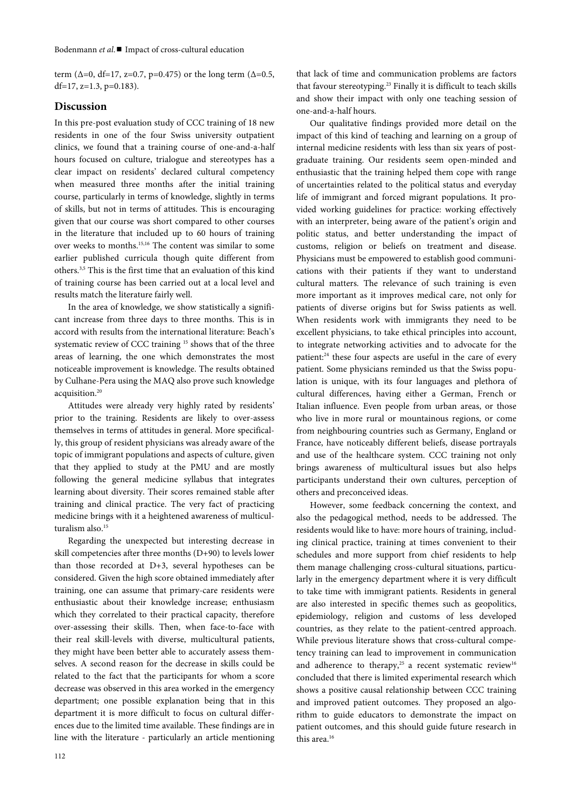term ( $\Delta=0$ , df=17, z=0.7, p=0.475) or the long term ( $\Delta=0.5$ , df=17,  $z=1.3$ ,  $p=0.183$ ).

# **Discussion**

In this pre-post evaluation study of CCC training of 18 new residents in one of the four Swiss university outpatient clinics, we found that a training course of one-and-a-half hours focused on culture, trialogue and stereotypes has a clear impact on residents' declared cultural competency when measured three months after the initial training course, particularly in terms of knowledge, slightly in terms of skills, but not in terms of attitudes. This is encouraging given that our course was short compared to other courses in the literature that included up to 60 hours of training over weeks to months.15,16 The content was similar to some earlier published curricula though quite different from others.3,5 This is the first time that an evaluation of this kind of training course has been carried out at a local level and results match the literature fairly well.

In the area of knowledge, we show statistically a significant increase from three days to three months. This is in accord with results from the international literature: Beach's systematic review of CCC training 15 shows that of the three areas of learning, the one which demonstrates the most noticeable improvement is knowledge. The results obtained by Culhane-Pera using the MAQ also prove such knowledge acquisition.<sup>20</sup>

Attitudes were already very highly rated by residents' prior to the training. Residents are likely to over-assess themselves in terms of attitudes in general. More specifically, this group of resident physicians was already aware of the topic of immigrant populations and aspects of culture, given that they applied to study at the PMU and are mostly following the general medicine syllabus that integrates learning about diversity. Their scores remained stable after training and clinical practice. The very fact of practicing medicine brings with it a heightened awareness of multiculturalism also.<sup>15</sup>

Regarding the unexpected but interesting decrease in skill competencies after three months (D+90) to levels lower than those recorded at D+3, several hypotheses can be considered. Given the high score obtained immediately after training, one can assume that primary-care residents were enthusiastic about their knowledge increase; enthusiasm which they correlated to their practical capacity, therefore over-assessing their skills. Then, when face-to-face with their real skill-levels with diverse, multicultural patients, they might have been better able to accurately assess themselves. A second reason for the decrease in skills could be related to the fact that the participants for whom a score decrease was observed in this area worked in the emergency department; one possible explanation being that in this department it is more difficult to focus on cultural differences due to the limited time available. These findings are in line with the literature - particularly an article mentioning

that lack of time and communication problems are factors that favour stereotyping.<sup>23</sup> Finally it is difficult to teach skills and show their impact with only one teaching session of one-and-a-half hours.

Our qualitative findings provided more detail on the impact of this kind of teaching and learning on a group of internal medicine residents with less than six years of postgraduate training. Our residents seem open-minded and enthusiastic that the training helped them cope with range of uncertainties related to the political status and everyday life of immigrant and forced migrant populations. It provided working guidelines for practice: working effectively with an interpreter, being aware of the patient's origin and politic status, and better understanding the impact of customs, religion or beliefs on treatment and disease. Physicians must be empowered to establish good communications with their patients if they want to understand cultural matters. The relevance of such training is even more important as it improves medical care, not only for patients of diverse origins but for Swiss patients as well. When residents work with immigrants they need to be excellent physicians, to take ethical principles into account, to integrate networking activities and to advocate for the patient:<sup>24</sup> these four aspects are useful in the care of every patient. Some physicians reminded us that the Swiss population is unique, with its four languages and plethora of cultural differences, having either a German, French or Italian influence. Even people from urban areas, or those who live in more rural or mountainous regions, or come from neighbouring countries such as Germany, England or France, have noticeably different beliefs, disease portrayals and use of the healthcare system. CCC training not only brings awareness of multicultural issues but also helps participants understand their own cultures, perception of others and preconceived ideas.

However, some feedback concerning the context, and also the pedagogical method, needs to be addressed. The residents would like to have: more hours of training, including clinical practice, training at times convenient to their schedules and more support from chief residents to help them manage challenging cross-cultural situations, particularly in the emergency department where it is very difficult to take time with immigrant patients. Residents in general are also interested in specific themes such as geopolitics, epidemiology, religion and customs of less developed countries, as they relate to the patient-centred approach. While previous literature shows that cross-cultural competency training can lead to improvement in communication and adherence to therapy,<sup>25</sup> a recent systematic review<sup>16</sup> concluded that there is limited experimental research which shows a positive causal relationship between CCC training and improved patient outcomes. They proposed an algorithm to guide educators to demonstrate the impact on patient outcomes, and this should guide future research in this area.<sup>16</sup>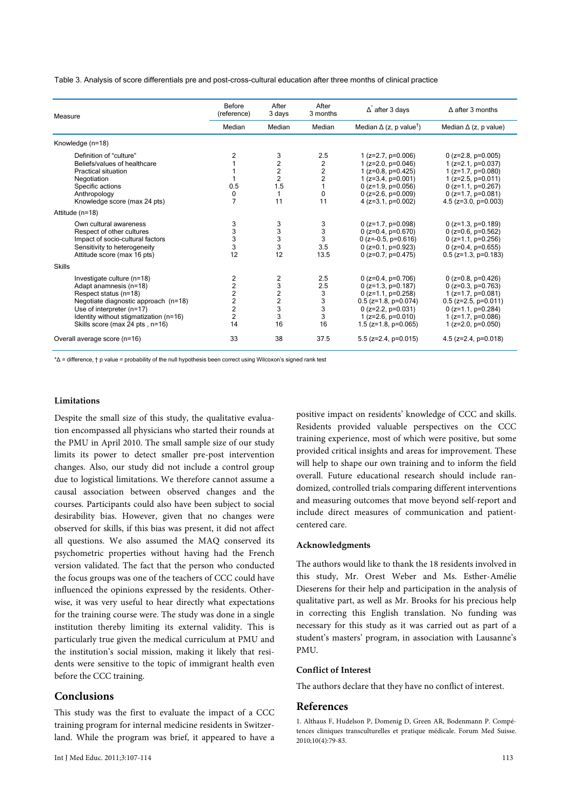Table 3. Analysis of score differentials pre and post-cross-cultural education after three months of clinical practice

| Measure                                                                                                                                                                                                                           | Before<br>(reference)                                                               | After<br>3 days                                   | After<br>3 months                                 | $\Delta$ after 3 days                                                                                                                                                   | $\Delta$ after 3 months                                                                                                                                                     |
|-----------------------------------------------------------------------------------------------------------------------------------------------------------------------------------------------------------------------------------|-------------------------------------------------------------------------------------|---------------------------------------------------|---------------------------------------------------|-------------------------------------------------------------------------------------------------------------------------------------------------------------------------|-----------------------------------------------------------------------------------------------------------------------------------------------------------------------------|
|                                                                                                                                                                                                                                   | Median                                                                              | Median                                            | Median                                            | Median $\Delta$ (z, p value <sup>†</sup> )                                                                                                                              | Median $\Delta$ (z, p value)                                                                                                                                                |
| Knowledge (n=18)                                                                                                                                                                                                                  |                                                                                     |                                                   |                                                   |                                                                                                                                                                         |                                                                                                                                                                             |
| Definition of "culture"<br>Beliefs/values of healthcare<br><b>Practical situation</b><br>Negotiation<br>Specific actions<br>Anthropology<br>Knowledge score (max 24 pts)                                                          | 2<br>0.5<br>0<br>$\overline{7}$                                                     | 3<br>$\frac{2}{2}$<br>$\overline{c}$<br>1.5<br>11 | 2.5<br>$\frac{2}{2}$<br>$\overline{c}$<br>0<br>11 | $1$ (z=2.7, p=0.006)<br>$1(z=2.0, p=0.046)$<br>$1$ (z=0.8, p=0.425)<br>$1(z=3.4, p=0.001)$<br>$0$ (z=1.9, p=0.056)<br>$0$ (z=2.6, p=0.009)<br>$4$ (z=3.1, p=0.002)      | $0$ (z=2.8, p=0.005)<br>$1$ (z=2.1, p=0.037)<br>$1$ (z=1.7, p=0.080)<br>$1$ (z=2.5, p=0.011)<br>$0$ (z=1.1, p=0.267)<br>$0$ (z=1.7, p=0.081)<br>4.5 ( $z=3.0$ , $p=0.003$ ) |
| Attitude (n=18)                                                                                                                                                                                                                   |                                                                                     |                                                   |                                                   |                                                                                                                                                                         |                                                                                                                                                                             |
| Own cultural awareness<br>Respect of other cultures<br>Impact of socio-cultural factors<br>Sensitivity to heterogeneity<br>Attitude score (max 16 pts)                                                                            | 3<br>3<br>3<br>3<br>12                                                              | 3<br>3<br>3<br>3<br>12                            | 3<br>3<br>3<br>3.5<br>13.5                        | $0$ (z=1.7, p=0.098)<br>$0$ (z=0.4, p=0.670)<br>$0$ (z=-0.5, p=0.616)<br>$0$ (z=0.1, p=0.923)<br>$0$ (z=0.7, p=0.475)                                                   | $0$ (z=1.3, p=0.189)<br>$0$ (z=0.6, p=0.562)<br>$0$ (z=1.1, p=0.256)<br>$0$ (z=0.4, p=0.655)<br>$0.5$ (z=1.3, p=0.183)                                                      |
| <b>Skills</b>                                                                                                                                                                                                                     |                                                                                     |                                                   |                                                   |                                                                                                                                                                         |                                                                                                                                                                             |
| Investigate culture (n=18)<br>Adapt anamnesis (n=18)<br>Respect status (n=18)<br>Negotiate diagnostic approach (n=18)<br>Use of interpreter $(n=17)$<br>Identity without stigmatization (n=16)<br>Skills score (max 24 pts, n=16) | $\frac{2}{2}$<br>$\begin{array}{c} 2 \\ 2 \\ 2 \end{array}$<br>$\overline{2}$<br>14 | $2322$<br>$323$<br>3<br>16                        | 2.5<br>2.5<br>3<br>3<br>3<br>3<br>16              | $0$ (z=0.4, p=0.706)<br>$0$ (z=1.3, p=0.187)<br>$0$ (z=1.1, p=0.258)<br>$0.5$ (z=1.8, p=0.074)<br>$0$ (z=2.2, p=0.031)<br>$1(z=2.6, p=0.010)$<br>$1.5$ (z=1.8, p=0.065) | $0$ (z=0.8, p=0.426)<br>$0$ (z=0.3, p=0.763)<br>$1(z=1.7, p=0.081)$<br>$0.5$ (z=2.5, p=0.011)<br>$0$ (z=1.1, p=0.284)<br>$1$ (z=1.7, p=0.086)<br>$1$ (z=2.0, p=0.050)       |
| Overall average score (n=16)                                                                                                                                                                                                      | 33                                                                                  | 38                                                | 37.5                                              | $5.5$ ( $z=2.4$ , $p=0.015$ )                                                                                                                                           | 4.5 ( $z=2.4$ , $p=0.018$ )                                                                                                                                                 |

\*Δ = difference, † p value = probability of the null hypothesis been correct using Wilcoxon's signed rank test

## **Limitations**

Despite the small size of this study, the qualitative evaluation encompassed all physicians who started their rounds at the PMU in April 2010. The small sample size of our study limits its power to detect smaller pre-post intervention changes. Also, our study did not include a control group due to logistical limitations. We therefore cannot assume a causal association between observed changes and the courses. Participants could also have been subject to social desirability bias. However, given that no changes were observed for skills, if this bias was present, it did not affect all questions. We also assumed the MAQ conserved its psychometric properties without having had the French version validated. The fact that the person who conducted the focus groups was one of the teachers of CCC could have influenced the opinions expressed by the residents. Otherwise, it was very useful to hear directly what expectations for the training course were. The study was done in a single institution thereby limiting its external validity. This is particularly true given the medical curriculum at PMU and the institution's social mission, making it likely that residents were sensitive to the topic of immigrant health even before the CCC training.

# **Conclusions**

This study was the first to evaluate the impact of a CCC training program for internal medicine residents in Switzerland. While the program was brief, it appeared to have a

positive impact on residents' knowledge of CCC and skills. Residents provided valuable perspectives on the CCC training experience, most of which were positive, but some provided critical insights and areas for improvement. These will help to shape our own training and to inform the field overall. Future educational research should include randomized, controlled trials comparing different interventions and measuring outcomes that move beyond self-report and include direct measures of communication and patientcentered care.

## **Acknowledgments**

The authors would like to thank the 18 residents involved in this study, Mr. Orest Weber and Ms. Esther-Amélie Dieserens for their help and participation in the analysis of qualitative part, as well as Mr. Brooks for his precious help in correcting this English translation. No funding was necessary for this study as it was carried out as part of a student's masters' program, in association with Lausanne's PMU.

## **Conflict of Interest**

The authors declare that they have no conflict of interest.

#### **References**

1. Althaus F, Hudelson P, Domenig D, Green AR, Bodenmann P. Compétences cliniques transculturelles et pratique médicale. Forum Med Suisse. 2010;10(4):79-83.